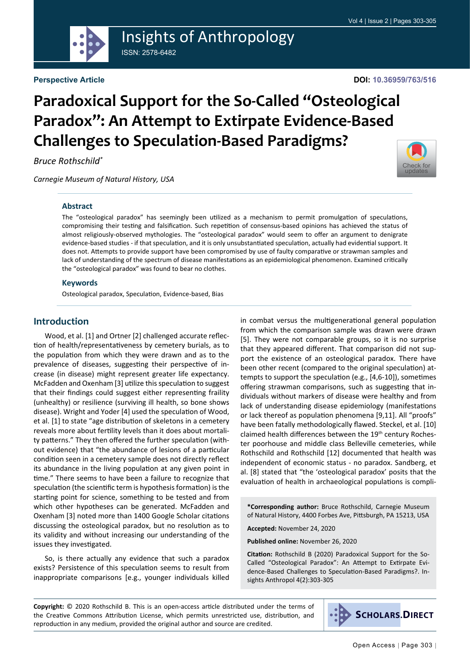

## Insights of Anthropology ISSN: 2578-6482

#### **Perspective Article**

#### **DOI: 10.36959/763/516**

# **Paradoxical Support for the So-Called "Osteological Paradox": An Attempt to Extirpate Evidence-Based Challenges to Speculation-Based Paradigms?**

*Bruce Rothschild\**

*Carnegie Museum of Natural History, USA*



#### **Abstract**

The "osteological paradox" has seemingly been utilized as a mechanism to permit promulgation of speculations, compromising their testing and falsification. Such repetition of consensus-based opinions has achieved the status of almost religiously-observed mythologies. The "osteological paradox" would seem to offer an argument to denigrate evidence-based studies - if that speculation, and it is only unsubstantiated speculation, actually had evidential support. It does not. Attempts to provide support have been compromised by use of faulty comparative or strawman samples and lack of understanding of the spectrum of disease manifestations as an epidemiological phenomenon. Examined critically the "osteological paradox" was found to bear no clothes.

#### **Keywords**

Osteological paradox, Speculation, Evidence-based, Bias

## **Introduction**

Wood, et al. [1] and Ortner [2] challenged accurate reflection of health/representativeness by cemetery burials, as to the population from which they were drawn and as to the prevalence of diseases, suggesting their perspective of increase (in disease) might represent greater life expectancy. McFadden and Oxenham [3] utilize this speculation to suggest that their findings could suggest either representing fraility (unhealthy) or resilience (surviving ill health, so bone shows disease). Wright and Yoder [4] used the speculation of Wood, et al. [1] to state "age distribution of skeletons in a cemetery reveals more about fertility levels than it does about mortality patterns." They then offered the further speculation (without evidence) that "the abundance of lesions of a particular condition seen in a cemetery sample does not directly reflect its abundance in the living population at any given point in time." There seems to have been a failure to recognize that speculation (the scientific term is hypothesis formation) is the starting point for science, something to be tested and from which other hypotheses can be generated. McFadden and Oxenham [3] noted more than 1400 Google Scholar citations discussing the osteological paradox, but no resolution as to its validity and without increasing our understanding of the issues they investigated.

So, is there actually any evidence that such a paradox exists? Persistence of this speculation seems to result from inappropriate comparisons [e.g., younger individuals killed in combat versus the multigenerational general population from which the comparison sample was drawn were drawn [5]. They were not comparable groups, so it is no surprise that they appeared different. That comparison did not support the existence of an osteological paradox. There have been other recent (compared to the original speculation) attempts to support the speculation (e.g., [4,6-10]), sometimes offering strawman comparisons, such as suggesting that individuals without markers of disease were healthy and from lack of understanding disease epidemiology (manifestations or lack thereof as population phenomena [9,11]. All "proofs" have been fatally methodologically flawed. Steckel, et al. [10] claimed health differences between the 19<sup>th</sup> century Rochester poorhouse and middle class Belleville cemeteries, while Rothschild and Rothschild [12] documented that health was independent of economic status - no paradox. Sandberg, et al. [8] stated that "the 'osteological paradox' posits that the evaluation of health in archaeological populations is compli-

**\*Corresponding author:** Bruce Rothschild, Carnegie Museum of Natural History, 4400 Forbes Ave, Pittsburgh, PA 15213, USA

**Accepted:** November 24, 2020

**Published online:** November 26, 2020

**Citation:** Rothschild B (2020) Paradoxical Support for the So-Called "Osteological Paradox": An Attempt to Extirpate Evidence-Based Challenges to Speculation-Based Paradigms?. Insights Anthropol 4(2):303-305

**Copyright:** © 2020 Rothschild B. This is an open-access article distributed under the terms of the Creative Commons Attribution License, which permits unrestricted use, distribution, and reproduction in any medium, provided the original author and source are credited.

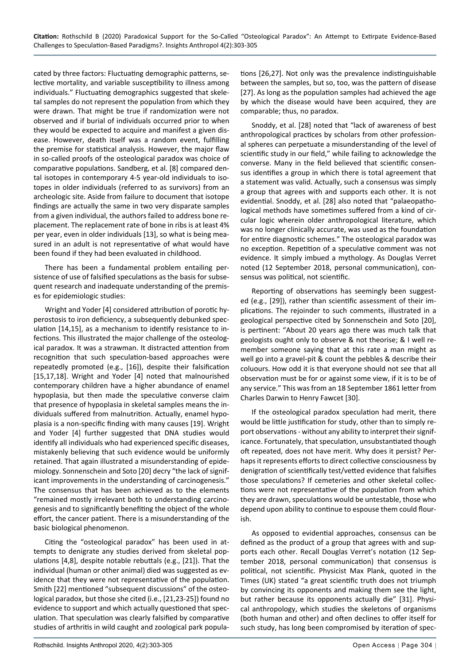cated by three factors: Fluctuating demographic patterns, selective mortality, and variable susceptibility to illness among individuals." Fluctuating demographics suggested that skeletal samples do not represent the population from which they were drawn. That might be true if randomization were not observed and if burial of individuals occurred prior to when they would be expected to acquire and manifest a given disease. However, death itself was a random event, fulfilling the premise for statistical analysis. However, the major flaw in so-called proofs of the osteological paradox was choice of comparative populations. Sandberg, et al. [8] compared dental isotopes in contemporary 4-5 year-old individuals to isotopes in older individuals (referred to as survivors) from an archeologic site. Aside from failure to document that isotope findings are actually the same in two very disparate samples from a given individual, the authors failed to address bone replacement. The replacement rate of bone in ribs is at least 4% per year, even in older individuals [13], so what is being measured in an adult is not representative of what would have been found if they had been evaluated in childhood.

There has been a fundamental problem entailing persistence of use of falsified speculations as the basis for subsequent research and inadequate understanding of the premises for epidemiologic studies:

Wright and Yoder [4] considered attribution of porotic hyperostosis to iron deficiency, a subsequently debunked speculation [14,15], as a mechanism to identify resistance to infections. This illustrated the major challenge of the osteological paradox. It was a strawman. It distracted attention from recognition that such speculation-based approaches were repeatedly promoted (e.g., [16]), despite their falsification [15,17,18]. Wright and Yoder [4] noted that malnourished contemporary children have a higher abundance of enamel hypoplasia, but then made the speculative converse claim that presence of hypoplasia in skeletal samples means the individuals suffered from malnutrition. Actually, enamel hypoplasia is a non-specific finding with many causes [19]. Wright and Yoder [4] further suggested that DNA studies would identify all individuals who had experienced specific diseases, mistakenly believing that such evidence would be uniformly retained. That again illustrated a misunderstanding of epidemiology. Sonnenschein and Soto [20] decry "the lack of significant improvements in the understanding of carcinogenesis." The consensus that has been achieved as to the elements "remained mostly irrelevant both to understanding carcinogenesis and to significantly benefiting the object of the whole effort, the cancer patient. There is a misunderstanding of the basic biological phenomenon.

Citing the "osteological paradox" has been used in attempts to denigrate any studies derived from skeletal populations [4,8], despite notable rebuttals (e.g., [21]). That the individual (human or other animal) died was suggested as evidence that they were not representative of the population. Smith [22] mentioned "subsequent discussions" of the osteological paradox, but those she cited (i.e., [21,23-25]) found no evidence to support and which actually questioned that speculation. That speculation was clearly falsified by comparative studies of arthritis in wild caught and zoological park populations [26,27]. Not only was the prevalence indistinguishable between the samples, but so, too, was the pattern of disease [27]. As long as the population samples had achieved the age by which the disease would have been acquired, they are comparable; thus, no paradox.

Snoddy, et al. [28] noted that "lack of awareness of best anthropological practices by scholars from other professional spheres can perpetuate a misunderstanding of the level of scientific study in our field," while failing to acknowledge the converse. Many in the field believed that scientific consensus identifies a group in which there is total agreement that a statement was valid. Actually, such a consensus was simply a group that agrees with and supports each other. It is not evidential. Snoddy, et al. [28] also noted that "palaeopathological methods have sometimes suffered from a kind of circular logic wherein older anthropological literature, which was no longer clinically accurate, was used as the foundation for entire diagnostic schemes." The osteological paradox was no exception. Repetition of a speculative comment was not evidence. It simply imbued a mythology. As Douglas Verret noted (12 September 2018, personal communication), consensus was political, not scientific.

Reporting of observations has seemingly been suggested (e.g., [29]), rather than scientific assessment of their implications. The rejoinder to such comments, illustrated in a geological perspective cited by Sonnenschein and Soto [20], is pertinent: "About 20 years ago there was much talk that geologists ought only to observe & not theorise; & I well remember someone saying that at this rate a man might as well go into a gravel-pit & count the pebbles & describe their coluours. How odd it is that everyone should not see that all observation must be for or against some view, if it is to be of any service." This was from an 18 September 1861 letter from Charles Darwin to Henry Fawcet [30].

If the osteological paradox speculation had merit, there would be little justification for study, other than to simply report observations - without any ability to interpret their significance. Fortunately, that speculation, unsubstantiated though oft repeated, does not have merit. Why does it persist? Perhaps it represents efforts to direct collective consciousness by denigration of scientifically test/vetted evidence that falsifies those speculations? If cemeteries and other skeletal collections were not representative of the population from which they are drawn, speculations would be untestable, those who depend upon ability to continue to espouse them could flourish.

As opposed to evidential approaches, consensus can be defined as the product of a group that agrees with and supports each other. Recall Douglas Verret's notation (12 September 2018, personal communication) that consensus is political, not scientific. Physicist Max Plank, quoted in the Times (UK) stated "a great scientific truth does not triumph by convincing its opponents and making them see the light, but rather because its opponents actually die" [31]. Physical anthropology, which studies the skeletons of organisms (both human and other) and often declines to offer itself for such study, has long been compromised by iteration of spec